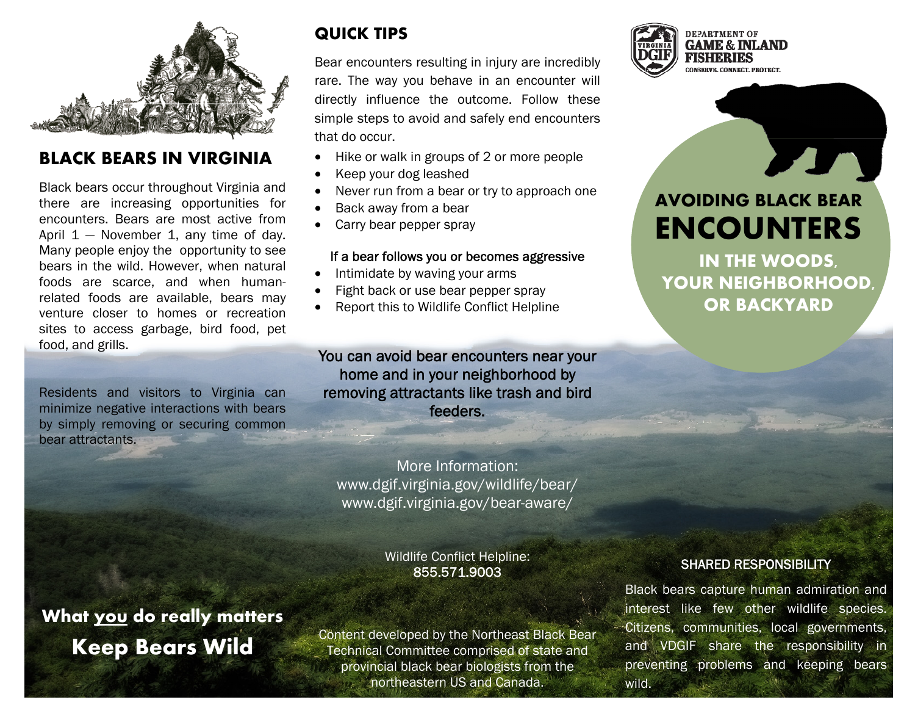

#### **BLACK BEARS IN VIRGINIA**

Black bears occur throughout Virginia and there are increasing opportunities for encounters. Bears are most active from April  $1 -$  November 1, any time of day. Many people enjoy the opportunity to see bears in the wild. However, when natural foods are scarce, and when humanrelated foods are available, bears may venture closer to homes or recreation sites to access garbage, bird food, pet food, and grills.

Residents and visitors to Virginia can minimize negative interactions with bears by simply removing or securing common bear attractants.

## **QUICK TIPS**

Bear encounters resulting in injury are incredibly rare. The way you behave in an encounter will directly influence the outcome. Follow these simple steps to avoid and safely end encounters that do occur.

- Hike or walk in groups of 2 or more people
- Keep your dog leashed
- Never run from a bear or try to approach one
- Back away from a bear
- Carry bear pepper spray

#### If a bear follows you or becomes aggressive

- Intimidate by waving your arms
- Fight back or use bear pepper spray
- Report this to Wildlife Conflict Helpline

#### You can avoid bear encounters near your home and in your neighborhood by removing attractants like trash and bird feeders.

More Information: www.dgif.virginia.gov/wildlife/bear/ www.dgif.virginia.gov/bear-aware/

#### Wildlife Conflict Helpline: 855.571.9003

**What you do really matters Keep Bears Wild** 

Content developed by the Northeast Black Bear Technical Committee comprised of state and provincial black bear biologists from the northeastern US and Canada.



# **AVOIDING BLACK BEAR ENCOUNTERS**

**IN THE WOODS, YOUR NEIGHBORHOOD, OR BACKYARD** 

#### SHARED RESPONSIBILITY

Black bears capture human admiration and interest like few other wildlife species. Citizens, communities, local governments, and VDGIF share the responsibility in preventing problems and keeping bears wild.